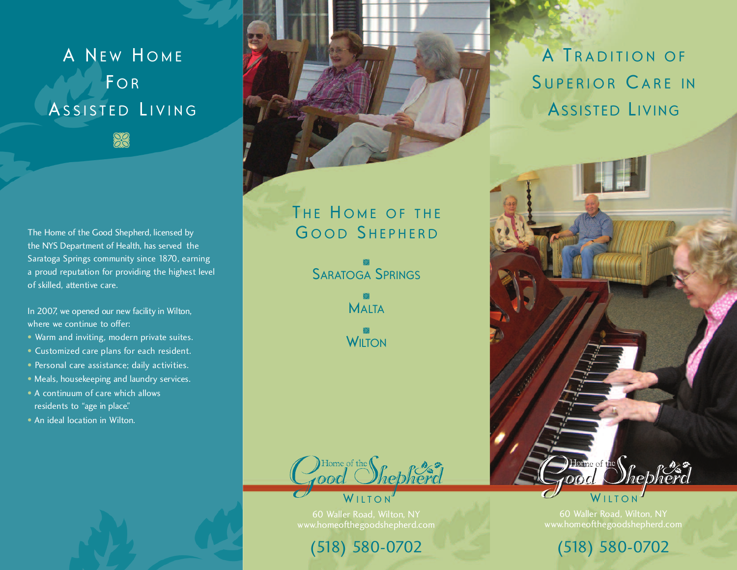A NEW HOME **FOR** ASSISTED LIVING **SC** 

The Home of the Good Shepherd, licensed by the NYS Department of Health, has served the Saratoga Springs community since 1870, earning a proud reputation for providing the highest level of skilled, attentive care.

In 2007, we opened our new facility in Wilton, where we continue to offer:

- Warm and inviting, modern private suites.
- Customized care plans for each resident.
- Personal care assistance; daily activities.
- Meals, housekeeping and laundry services.
- A continuum of care which allows residents to "age in place."
- An ideal location in Wilton.



THE HOME OF THE GOOD SHEPHERD

> SARATOGA SPRINGS 83

> > **MALTA** 88

**ES**<br>WILTON



60 Waller Road, Wilton, NY www.homeofthegoodshepherd.com

(518) 580-0702

A TRADITION OF SUPERIOR CARE IN ASSISTED LIVING



60 Waller Road, Wilton, NY www.homeofthegoodshepherd.com

(518) 580-0702